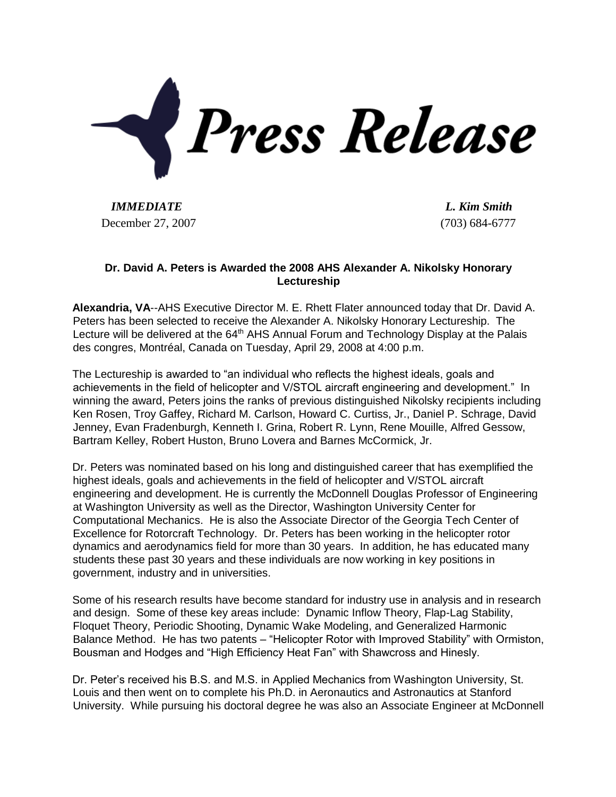

*IMMEDIATE L. Kim Smith* December 27, 2007 (703) 684-6777

## **Dr. David A. Peters is Awarded the 2008 AHS Alexander A. Nikolsky Honorary Lectureship**

**Alexandria, VA**--AHS Executive Director M. E. Rhett Flater announced today that Dr. David A. Peters has been selected to receive the Alexander A. Nikolsky Honorary Lectureship. The Lecture will be delivered at the 64<sup>th</sup> AHS Annual Forum and Technology Display at the Palais des congres, Montréal, Canada on Tuesday, April 29, 2008 at 4:00 p.m.

The Lectureship is awarded to "an individual who reflects the highest ideals, goals and achievements in the field of helicopter and V/STOL aircraft engineering and development." In winning the award, Peters joins the ranks of previous distinguished Nikolsky recipients including Ken Rosen, Troy Gaffey, Richard M. Carlson, Howard C. Curtiss, Jr., Daniel P. Schrage, David Jenney, Evan Fradenburgh, Kenneth I. Grina, Robert R. Lynn, Rene Mouille, Alfred Gessow, Bartram Kelley, Robert Huston, Bruno Lovera and Barnes McCormick, Jr.

Dr. Peters was nominated based on his long and distinguished career that has exemplified the highest ideals, goals and achievements in the field of helicopter and V/STOL aircraft engineering and development. He is currently the McDonnell Douglas Professor of Engineering at Washington University as well as the Director, Washington University Center for Computational Mechanics. He is also the Associate Director of the Georgia Tech Center of Excellence for Rotorcraft Technology. Dr. Peters has been working in the helicopter rotor dynamics and aerodynamics field for more than 30 years. In addition, he has educated many students these past 30 years and these individuals are now working in key positions in government, industry and in universities.

Some of his research results have become standard for industry use in analysis and in research and design. Some of these key areas include: Dynamic Inflow Theory, Flap-Lag Stability, Floquet Theory, Periodic Shooting, Dynamic Wake Modeling, and Generalized Harmonic Balance Method. He has two patents – "Helicopter Rotor with Improved Stability" with Ormiston, Bousman and Hodges and "High Efficiency Heat Fan" with Shawcross and Hinesly.

Dr. Peter's received his B.S. and M.S. in Applied Mechanics from Washington University, St. Louis and then went on to complete his Ph.D. in Aeronautics and Astronautics at Stanford University. While pursuing his doctoral degree he was also an Associate Engineer at McDonnell